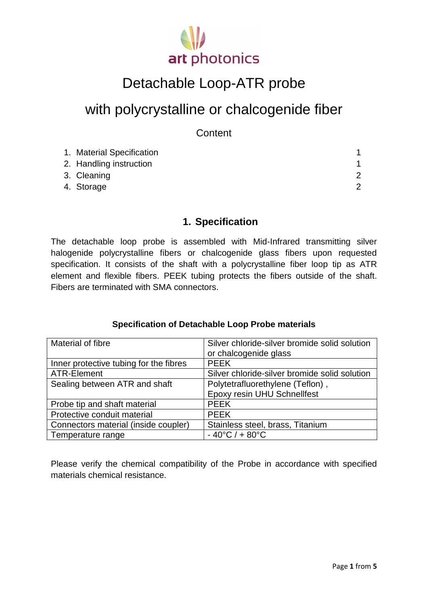

# Detachable Loop-ATR probe

## with polycrystalline or chalcogenide fiber

**Content** 

| 1. Material Specification |  |
|---------------------------|--|
| 2. Handling instruction   |  |
| 3. Cleaning               |  |
| 4. Storage                |  |

#### **1. Specification**

The detachable loop probe is assembled with Mid-Infrared transmitting silver halogenide polycrystalline fibers or chalcogenide glass fibers upon requested specification. It consists of the shaft with a polycrystalline fiber loop tip as ATR element and flexible fibers. PEEK tubing protects the fibers outside of the shaft. Fibers are terminated with SMA connectors.

#### **Specification of Detachable Loop Probe materials**

| Material of fibre                      | Silver chloride-silver bromide solid solution |
|----------------------------------------|-----------------------------------------------|
|                                        | or chalcogenide glass                         |
| Inner protective tubing for the fibres | <b>PEEK</b>                                   |
| ATR-Element                            | Silver chloride-silver bromide solid solution |
| Sealing between ATR and shaft          | Polytetrafluorethylene (Teflon),              |
|                                        | <b>Epoxy resin UHU Schnellfest</b>            |
| Probe tip and shaft material           | <b>PEEK</b>                                   |
| Protective conduit material            | <b>PEEK</b>                                   |
| Connectors material (inside coupler)   | Stainless steel, brass, Titanium              |
| Temperature range                      | $-40^{\circ}$ C / + 80 $^{\circ}$ C           |

Please verify the chemical compatibility of the Probe in accordance with specified materials chemical resistance.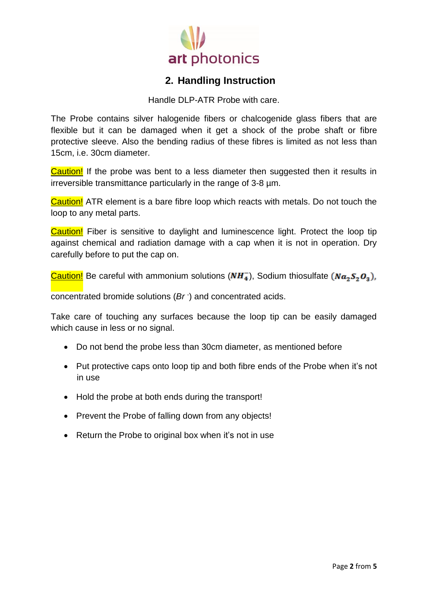

### **2. Handling Instruction**

Handle DLP-ATR Probe with care

The Probe contains silver halogenide fibers or chalcogenide glass fibers that are flexible but it can be damaged when it get a shock of the probe shaft or fibre protective sleeve. Also the bending radius of these fibres is limited as not less than 15cm, i.e. 30cm diameter.

Caution! If the probe was bent to a less diameter then suggested then it results in irreversible transmittance particularly in the range of 3-8 µm.

Caution! ATR element is a bare fibre loop which reacts with metals. Do not touch the loop to any metal parts.

Caution! Fiber is sensitive to daylight and luminescence light. Protect the loop tip against chemical and radiation damage with a cap when it is not in operation. Dry carefully before to put the cap on.

**Caution!** Be careful with ammonium solutions  $(NH_4^-)$ , Sodium thiosulfate  $(Na_2S_2O_3)$ ,

concentrated bromide solutions (*Br* - ) and concentrated acids.

Take care of touching any surfaces because the loop tip can be easily damaged which cause in less or no signal.

- Do not bend the probe less than 30cm diameter, as mentioned before
- Put protective caps onto loop tip and both fibre ends of the Probe when it's not in use
- Hold the probe at both ends during the transport!
- Prevent the Probe of falling down from any objects!
- Return the Probe to original box when it's not in use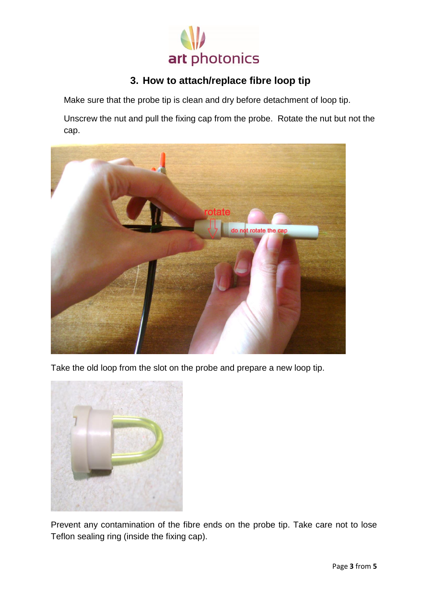

### **3. How to attach/replace fibre loop tip**

Make sure that the probe tip is clean and dry before detachment of loop tip.

Unscrew the nut and pull the fixing cap from the probe. Rotate the nut but not the cap.



Take the old loop from the slot on the probe and prepare a new loop tip.



Prevent any contamination of the fibre ends on the probe tip. Take care not to lose Teflon sealing ring (inside the fixing cap).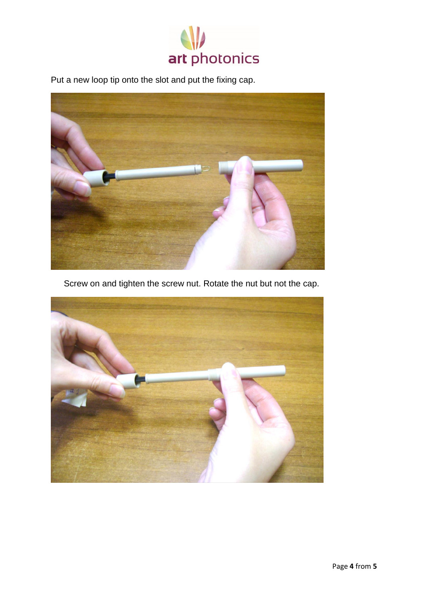

Put a new loop tip onto the slot and put the fixing cap.



Screw on and tighten the screw nut. Rotate the nut but not the cap.